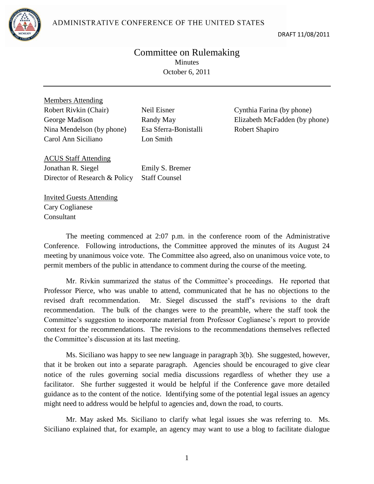ADMINISTRATIVE CONFERENCE OF THE UNITED STATES



DRAFT 11/08/2011

## Committee on Rulemaking **Minutes** October 6, 2011

Members Attending Robert Rivkin (Chair) Neil Eisner Cynthia Farina (by phone) Nina Mendelson (by phone) Esa Sferra-Bonistalli Robert Shapiro Carol Ann Siciliano Lon Smith

George Madison Randy May Elizabeth McFadden (by phone)

ACUS Staff Attending Jonathan R. Siegel Director of Research & Policy

Emily S. Bremer Staff Counsel

Invited Guests Attending Cary Coglianese Consultant

The meeting commenced at 2:07 p.m. in the conference room of the Administrative Conference. Following introductions, the Committee approved the minutes of its August 24 meeting by unanimous voice vote. The Committee also agreed, also on unanimous voice vote, to permit members of the public in attendance to comment during the course of the meeting.

Mr. Rivkin summarized the status of the Committee's proceedings. He reported that Professor Pierce, who was unable to attend, communicated that he has no objections to the revised draft recommendation. Mr. Siegel discussed the staff's revisions to the draft recommendation. The bulk of the changes were to the preamble, where the staff took the Committee's suggestion to incorporate material from Professor Coglianese's report to provide context for the recommendations. The revisions to the recommendations themselves reflected the Committee's discussion at its last meeting.

Ms. Siciliano was happy to see new language in paragraph 3(b). She suggested, however, that it be broken out into a separate paragraph. Agencies should be encouraged to give clear notice of the rules governing social media discussions regardless of whether they use a facilitator. She further suggested it would be helpful if the Conference gave more detailed guidance as to the content of the notice. Identifying some of the potential legal issues an agency might need to address would be helpful to agencies and, down the road, to courts.

Mr. May asked Ms. Siciliano to clarify what legal issues she was referring to. Ms. Siciliano explained that, for example, an agency may want to use a blog to facilitate dialogue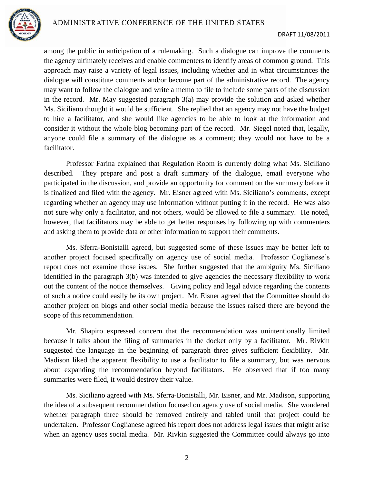

among the public in anticipation of a rulemaking. Such a dialogue can improve the comments the agency ultimately receives and enable commenters to identify areas of common ground. This approach may raise a variety of legal issues, including whether and in what circumstances the dialogue will constitute comments and/or become part of the administrative record. The agency may want to follow the dialogue and write a memo to file to include some parts of the discussion in the record. Mr. May suggested paragraph 3(a) may provide the solution and asked whether Ms. Siciliano thought it would be sufficient. She replied that an agency may not have the budget to hire a facilitator, and she would like agencies to be able to look at the information and consider it without the whole blog becoming part of the record. Mr. Siegel noted that, legally, anyone could file a summary of the dialogue as a comment; they would not have to be a facilitator.

Professor Farina explained that Regulation Room is currently doing what Ms. Siciliano described. They prepare and post a draft summary of the dialogue, email everyone who participated in the discussion, and provide an opportunity for comment on the summary before it is finalized and filed with the agency. Mr. Eisner agreed with Ms. Siciliano's comments, except regarding whether an agency may use information without putting it in the record. He was also not sure why only a facilitator, and not others, would be allowed to file a summary. He noted, however, that facilitators may be able to get better responses by following up with commenters and asking them to provide data or other information to support their comments.

Ms. Sferra-Bonistalli agreed, but suggested some of these issues may be better left to another project focused specifically on agency use of social media. Professor Coglianese's report does not examine those issues. She further suggested that the ambiguity Ms. Siciliano identified in the paragraph 3(b) was intended to give agencies the necessary flexibility to work out the content of the notice themselves. Giving policy and legal advice regarding the contents of such a notice could easily be its own project. Mr. Eisner agreed that the Committee should do another project on blogs and other social media because the issues raised there are beyond the scope of this recommendation.

Mr. Shapiro expressed concern that the recommendation was unintentionally limited because it talks about the filing of summaries in the docket only by a facilitator. Mr. Rivkin suggested the language in the beginning of paragraph three gives sufficient flexibility. Mr. Madison liked the apparent flexibility to use a facilitator to file a summary, but was nervous about expanding the recommendation beyond facilitators. He observed that if too many summaries were filed, it would destroy their value.

Ms. Siciliano agreed with Ms. Sferra-Bonistalli, Mr. Eisner, and Mr. Madison, supporting the idea of a subsequent recommendation focused on agency use of social media. She wondered whether paragraph three should be removed entirely and tabled until that project could be undertaken. Professor Coglianese agreed his report does not address legal issues that might arise when an agency uses social media. Mr. Rivkin suggested the Committee could always go into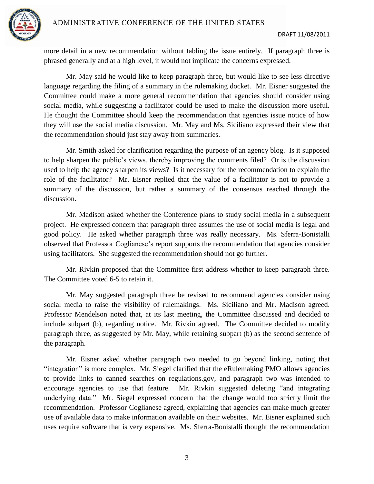

more detail in a new recommendation without tabling the issue entirely. If paragraph three is phrased generally and at a high level, it would not implicate the concerns expressed.

Mr. May said he would like to keep paragraph three, but would like to see less directive language regarding the filing of a summary in the rulemaking docket. Mr. Eisner suggested the Committee could make a more general recommendation that agencies should consider using social media, while suggesting a facilitator could be used to make the discussion more useful. He thought the Committee should keep the recommendation that agencies issue notice of how they will use the social media discussion. Mr. May and Ms. Siciliano expressed their view that the recommendation should just stay away from summaries.

Mr. Smith asked for clarification regarding the purpose of an agency blog. Is it supposed to help sharpen the public's views, thereby improving the comments filed? Or is the discussion used to help the agency sharpen its views? Is it necessary for the recommendation to explain the role of the facilitator? Mr. Eisner replied that the value of a facilitator is not to provide a summary of the discussion, but rather a summary of the consensus reached through the discussion.

Mr. Madison asked whether the Conference plans to study social media in a subsequent project. He expressed concern that paragraph three assumes the use of social media is legal and good policy. He asked whether paragraph three was really necessary. Ms. Sferra-Bonistalli observed that Professor Coglianese's report supports the recommendation that agencies consider using facilitators. She suggested the recommendation should not go further.

Mr. Rivkin proposed that the Committee first address whether to keep paragraph three. The Committee voted 6-5 to retain it.

Mr. May suggested paragraph three be revised to recommend agencies consider using social media to raise the visibility of rulemakings. Ms. Siciliano and Mr. Madison agreed. Professor Mendelson noted that, at its last meeting, the Committee discussed and decided to include subpart (b), regarding notice. Mr. Rivkin agreed. The Committee decided to modify paragraph three, as suggested by Mr. May, while retaining subpart (b) as the second sentence of the paragraph.

Mr. Eisner asked whether paragraph two needed to go beyond linking, noting that "integration" is more complex. Mr. Siegel clarified that the eRulemaking PMO allows agencies to provide links to canned searches on regulations.gov, and paragraph two was intended to encourage agencies to use that feature. Mr. Rivkin suggested deleting "and integrating underlying data." Mr. Siegel expressed concern that the change would too strictly limit the recommendation. Professor Coglianese agreed, explaining that agencies can make much greater use of available data to make information available on their websites. Mr. Eisner explained such uses require software that is very expensive. Ms. Sferra-Bonistalli thought the recommendation